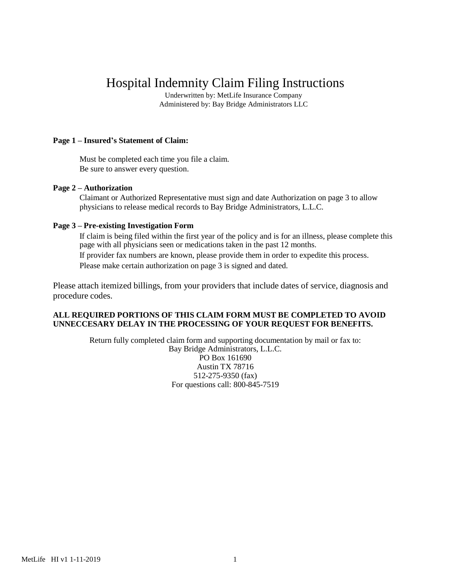# Hospital Indemnity Claim Filing Instructions

Underwritten by: MetLife Insurance Company Administered by: Bay Bridge Administrators LLC

### **Page 1 – Insured's Statement of Claim:**

Must be completed each time you file a claim. Be sure to answer every question.

#### **Page 2 – Authorization**

Claimant or Authorized Representative must sign and date Authorization on page 3 to allow physicians to release medical records to Bay Bridge Administrators, L.L.C.

#### **Page 3 – Pre-existing Investigation Form**

If claim is being filed within the first year of the policy and is for an illness, please complete this page with all physicians seen or medications taken in the past 12 months. If provider fax numbers are known, please provide them in order to expedite this process. Please make certain authorization on page 3 is signed and dated.

Please attach itemized billings, from your providers that include dates of service, diagnosis and procedure codes.

#### **ALL REQUIRED PORTIONS OF THIS CLAIM FORM MUST BE COMPLETED TO AVOID UNNECCESARY DELAY IN THE PROCESSING OF YOUR REQUEST FOR BENEFITS.**

Return fully completed claim form and supporting documentation by mail or fax to: Bay Bridge Administrators, L.L.C. PO Box 161690 Austin TX 78716 512-275-9350 (fax) For questions call: 800-845-7519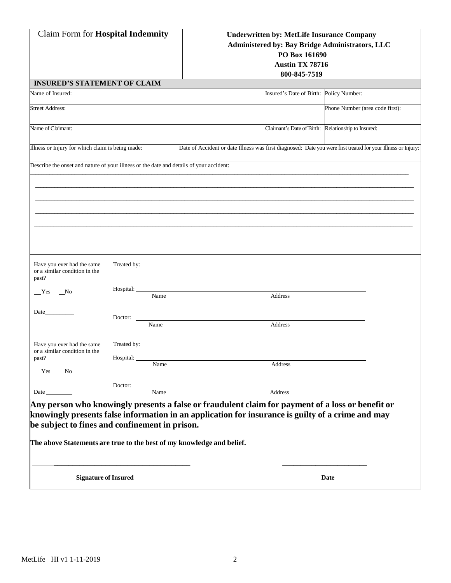| <b>Claim Form for Hospital Indemnity</b>                                                                                                                                                                                                                                                                                                                                |                                             |  | <b>Underwritten by: MetLife Insurance Company</b><br>PO Box 161690<br><b>Austin TX 78716</b><br>800-845-7519 | <b>Administered by: Bay Bridge Administrators, LLC</b>                                                        |  |  |  |
|-------------------------------------------------------------------------------------------------------------------------------------------------------------------------------------------------------------------------------------------------------------------------------------------------------------------------------------------------------------------------|---------------------------------------------|--|--------------------------------------------------------------------------------------------------------------|---------------------------------------------------------------------------------------------------------------|--|--|--|
| <b>INSURED'S STATEMENT OF CLAIM</b>                                                                                                                                                                                                                                                                                                                                     |                                             |  |                                                                                                              |                                                                                                               |  |  |  |
| Name of Insured:                                                                                                                                                                                                                                                                                                                                                        |                                             |  | Insured's Date of Birth: Policy Number:                                                                      |                                                                                                               |  |  |  |
| <b>Street Address:</b>                                                                                                                                                                                                                                                                                                                                                  |                                             |  |                                                                                                              | Phone Number (area code first):                                                                               |  |  |  |
| Name of Claimant:                                                                                                                                                                                                                                                                                                                                                       |                                             |  | Claimant's Date of Birth: Relationship to Insured:                                                           |                                                                                                               |  |  |  |
| Illness or Injury for which claim is being made:                                                                                                                                                                                                                                                                                                                        |                                             |  |                                                                                                              | Date of Accident or date Illness was first diagnosed: Date you were first treated for your Illness or Injury: |  |  |  |
| Describe the onset and nature of your illness or the date and details of your accident:<br>Have you ever had the same<br>or a similar condition in the<br>past?<br>Yes<br>N <sub>0</sub><br>Date                                                                                                                                                                        | Treated by:<br>Hospital:<br>Name<br>Doctor: |  | Address                                                                                                      |                                                                                                               |  |  |  |
| Have you ever had the same<br>or a similar condition in the<br>past?<br>$Yes$ No                                                                                                                                                                                                                                                                                        | Name<br>Treated by:<br>Hospital:<br>Name    |  | Address<br>Address                                                                                           |                                                                                                               |  |  |  |
| Doctor:<br>Name<br>Address<br>Date<br>Any person who knowingly presents a false or fraudulent claim for payment of a loss or benefit or<br>knowingly presents false information in an application for insurance is guilty of a crime and may<br>be subject to fines and confinement in prison.<br>The above Statements are true to the best of my knowledge and belief. |                                             |  |                                                                                                              |                                                                                                               |  |  |  |
| <b>Signature of Insured</b>                                                                                                                                                                                                                                                                                                                                             |                                             |  |                                                                                                              | Date                                                                                                          |  |  |  |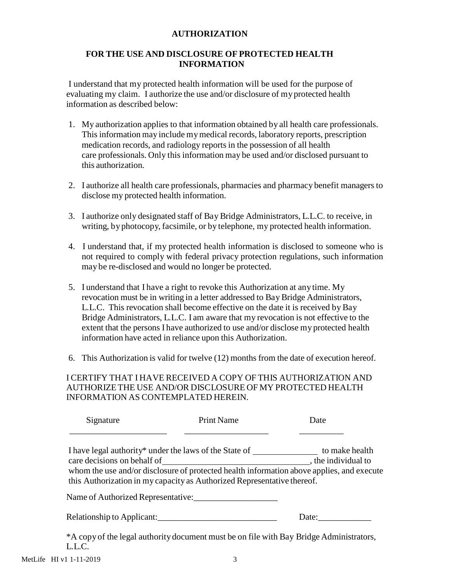## **AUTHORIZATION**

## **FOR THE USE AND DISCLOSURE OF PROTECTED HEALTH INFORMATION**

I understand that my protected health information will be used for the purpose of evaluating my claim. I authorize the use and/or disclosure of my protected health information as described below:

- 1. My authorization applies to that information obtained by all health care professionals. This information may include mymedical records, laboratory reports, prescription medication records, and radiology reports in the possession of all health care professionals. Only this information may be used and/or disclosed pursuant to this authorization.
- 2. I authorize all health care professionals, pharmacies and pharmacy benefit managers to disclose my protected health information.
- 3. I authorize only designated staff of Bay Bridge Administrators, L.L.C. to receive, in writing, by photocopy, facsimile, or by telephone, my protected health information.
- 4. I understand that, if my protected health information is disclosed to someone who is not required to comply with federal privacy protection regulations, such information may be re-disclosed and would no longer be protected.
- 5. I understand that I have a right to revoke this Authorization at any time. My revocation must be in writing in a letter addressed to Bay Bridge Administrators, L.L.C. This revocation shall become effective on the date it is received by Bay Bridge Administrators, L.L.C. I am aware that my revocation is not effective to the extent that the persons I have authorized to use and/or disclose my protected health information have acted in reliance upon this Authorization.
- 6. This Authorization is valid for twelve (12) months from the date of execution hereof.

## I CERTIFY THAT I HAVE RECEIVED A COPY OF THIS AUTHORIZATION AND AUTHORIZETHE USE AND/OR DISCLOSURE OF MY PROTECTED HEALTH INFORMATION AS CONTEMPLATED HEREIN.

| Signature | <b>Print Name</b>                                                                         | Date  |
|-----------|-------------------------------------------------------------------------------------------|-------|
|           | I have legal authority* under the laws of the State of the state to make health           |       |
|           |                                                                                           |       |
|           | whom the use and/or disclosure of protected health information above applies, and execute |       |
|           | this Authorization in my capacity as Authorized Representative thereof.                   |       |
|           | Name of Authorized Representative:                                                        |       |
|           | Relationship to Applicant:                                                                | Date: |
| LLC.      | *A copy of the legal authority document must be on file with Bay Bridge Administrators,   |       |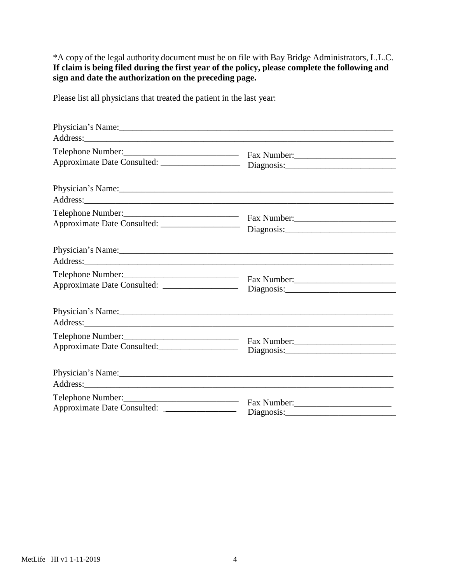\*A copy of the legal authority document must be on file with Bay Bridge Administrators, L.L.C. **If claim is being filed during the first year of the policy, please complete the following and sign and date the authorization on the preceding page.**

Please list all physicians that treated the patient in the last year:

|                                                                      | Physician's Name: 1988.                                                                                                                                                                                                          |  |
|----------------------------------------------------------------------|----------------------------------------------------------------------------------------------------------------------------------------------------------------------------------------------------------------------------------|--|
|                                                                      |                                                                                                                                                                                                                                  |  |
|                                                                      | Telephone Number:<br>Fax Number: Fax Number: Fax Number: Fax Number: Fax Number: Fax Number: Fax Number: Fax Number: Fax Number: Fax Number: Fax Number: Fax Number: Fax Number: Fax Number: Fax Number: Fax Number: Fax Number: |  |
|                                                                      |                                                                                                                                                                                                                                  |  |
|                                                                      | Telephone Number:<br>Fax Number:                                                                                                                                                                                                 |  |
|                                                                      | Physician's Name:                                                                                                                                                                                                                |  |
| Approximate Date Consulted: _________________                        | Fax Number:                                                                                                                                                                                                                      |  |
|                                                                      | Physician's Name: 1988. [19] Manual Manual Manual Manual Manual Manual Manual Manual Manual Manual Manual Manual Manual Manual Manual Manual Manual Manual Manual Manual Manual Manual Manual Manual Manual Manual Manual Manu   |  |
| Telephone Number:<br>Approximate Date Consulted:____________________ | Diagnosis:                                                                                                                                                                                                                       |  |
|                                                                      |                                                                                                                                                                                                                                  |  |
| Telephone Number:<br>Approximate Date Consulted:                     | Diagnosis:                                                                                                                                                                                                                       |  |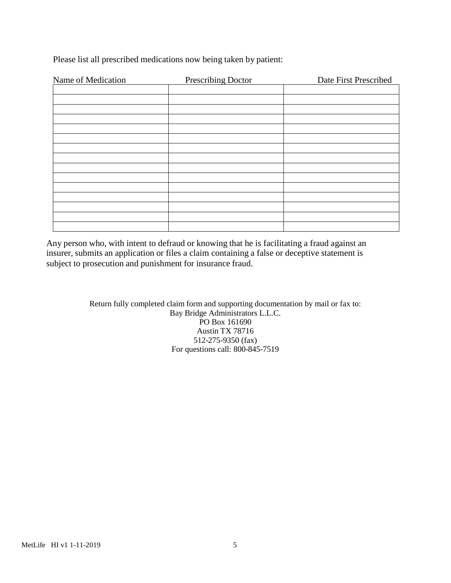| Name of Medication | <b>Prescribing Doctor</b> | Date First Prescribed |
|--------------------|---------------------------|-----------------------|
|                    |                           |                       |
|                    |                           |                       |
|                    |                           |                       |
|                    |                           |                       |
|                    |                           |                       |
|                    |                           |                       |
|                    |                           |                       |
|                    |                           |                       |
|                    |                           |                       |
|                    |                           |                       |
|                    |                           |                       |
|                    |                           |                       |
|                    |                           |                       |
|                    |                           |                       |
|                    |                           |                       |

Please list all prescribed medications now being taken by patient:

Any person who, with intent to defraud or knowing that he is facilitating a fraud against an insurer, submits an application or files a claim containing a false or deceptive statement is subject to prosecution and punishment for insurance fraud.

> Return fully completed claim form and supporting documentation by mail or fax to: Bay Bridge Administrators L.L.C. PO Box 161690 Austin TX 78716 512-275-9350 (fax) For questions call: 800-845-7519